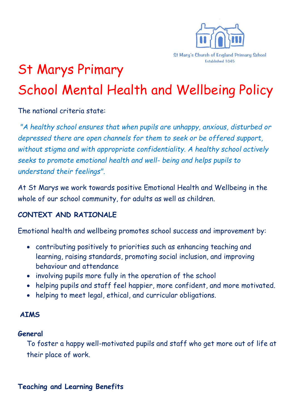

# St Marys Primary School Mental Health and Wellbeing Policy

The national criteria state:

*"A healthy school ensures that when pupils are unhappy, anxious, disturbed or depressed there are open channels for them to seek or be offered support, without stigma and with appropriate confidentiality. A healthy school actively seeks to promote emotional health and well- being and helps pupils to understand their feelings".*

At St Marys we work towards positive Emotional Health and Wellbeing in the whole of our school community, for adults as well as children.

## **CONTEXT AND RATIONALE**

Emotional health and wellbeing promotes school success and improvement by:

- contributing positively to priorities such as enhancing teaching and learning, raising standards, promoting social inclusion, and improving behaviour and attendance
- involving pupils more fully in the operation of the school
- helping pupils and staff feel happier, more confident, and more motivated.
- helping to meet legal, ethical, and curricular obligations.

#### **AIMS**

#### **General**

To foster a happy well-motivated pupils and staff who get more out of life at their place of work.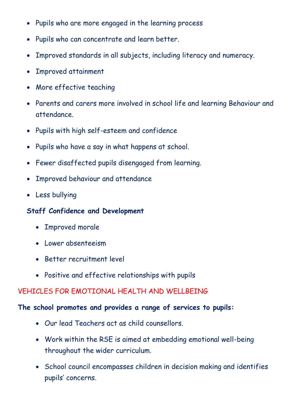- Pupils who are more engaged in the learning process
- Pupils who can concentrate and learn better.
- Improved standards in all subjects, including literacy and numeracy.
- Improved attainment
- More effective teaching
- Parents and carers more involved in school life and learning Behaviour and attendance.
- Pupils with high self-esteem and confidence
- Pupils who have a say in what happens at school.
- Fewer disaffected pupils disengaged from learning.
- Improved behaviour and attendance
- Less bullying

## **Staff Confidence and Development**

- Improved morale
- Lower absenteeism
- Better recruitment level
- Positive and effective relationships with pupils

## VEHICLES FOR EMOTIONAL HEALTH AND WELLBEING

## **The school promotes and provides a range of services to pupils:**

- Our lead Teachers act as child counsellors.
- Work within the RSE is aimed at embedding emotional well-being throughout the wider curriculum.
- School council encompasses children in decision making and identifies pupils' concerns.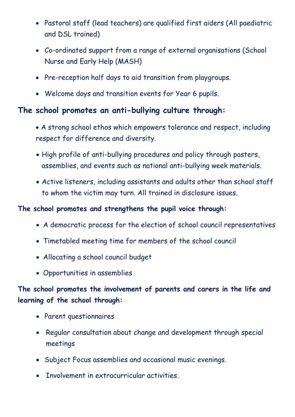- Pastoral staff (lead teachers) are qualified first aiders (All paediatric and DSL trained)
- Co-ordinated support from a range of external organisations (School Nurse and Early Help (MASH)
- Pre-reception half days to aid transition from playgroups.
- Welcome days and transition events for Year 6 pupils.

## **The school promotes an anti-bullying culture through:**

- A strong school ethos which empowers tolerance and respect, including respect for difference and diversity.
- High profile of anti-bullying procedures and policy through posters, assemblies, and events such as national anti-bullying week materials.
- Active listeners, including assistants and adults other than school staff to whom the victim may turn. All trained in disclosure issues.

## **The school promotes and strengthens the pupil voice through:**

- A democratic process for the election of school council representatives
- Timetabled meeting time for members of the school council
- Allocating a school council budget
- Opportunities in assemblies

# **The school promotes the involvement of parents and carers in the life and learning of the school through:**

- Parent questionnaires
- Regular consultation about change and development through special meetings
- Subject Focus assemblies and occasional music evenings.
- Involvement in extracurricular activities.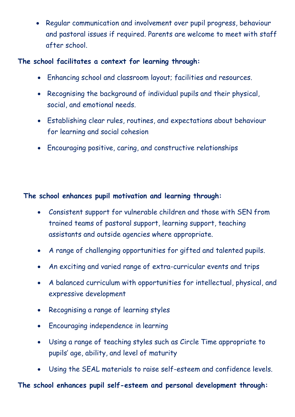• Regular communication and involvement over pupil progress, behaviour and pastoral issues if required. Parents are welcome to meet with staff after school.

#### **The school facilitates a context for learning through:**

- Enhancing school and classroom layout; facilities and resources.
- Recognising the background of individual pupils and their physical, social, and emotional needs.
- Establishing clear rules, routines, and expectations about behaviour for learning and social cohesion
- Encouraging positive, caring, and constructive relationships

## **The school enhances pupil motivation and learning through:**

- Consistent support for vulnerable children and those with SEN from trained teams of pastoral support, learning support, teaching assistants and outside agencies where appropriate.
- A range of challenging opportunities for gifted and talented pupils.
- An exciting and varied range of extra-curricular events and trips
- A balanced curriculum with opportunities for intellectual, physical, and expressive development
- Recognising a range of learning styles
- Encouraging independence in learning
- Using a range of teaching styles such as Circle Time appropriate to pupils' age, ability, and level of maturity
- Using the SEAL materials to raise self-esteem and confidence levels.

**The school enhances pupil self-esteem and personal development through:**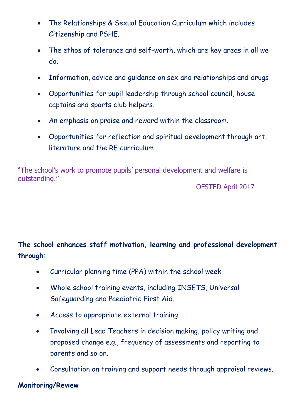- The Relationships & Sexual Education Curriculum which includes Citizenship and PSHE.
- The ethos of tolerance and self-worth, which are key areas in all we do.
- Information, advice and guidance on sex and relationships and drugs
- Opportunities for pupil leadership through school council, house captains and sports club helpers.
- An emphasis on praise and reward within the classroom.
- Opportunities for reflection and spiritual development through art, literature and the RE curriculum

"The school's work to promote pupils' personal development and welfare is outstanding."

OFSTED April 2017

# **The school enhances staff motivation, learning and professional development through:**

- Curricular planning time (PPA) within the school week
- Whole school training events, including INSETS, Universal Safeguarding and Paediatric First Aid.
- Access to appropriate external training
- Involving all Lead Teachers in decision making, policy writing and proposed change e.g., frequency of assessments and reporting to parents and so on.
- Consultation on training and support needs through appraisal reviews.

## **Monitoring/Review**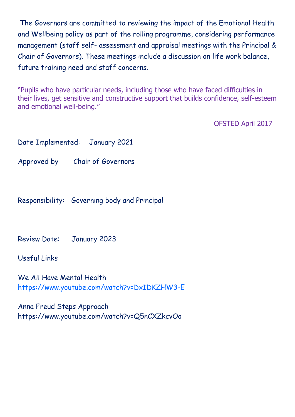The Governors are committed to reviewing the impact of the Emotional Health and Wellbeing policy as part of the rolling programme, considering performance management (staff self- assessment and appraisal meetings with the Principal & Chair of Governors). These meetings include a discussion on life work balance, future training need and staff concerns.

"Pupils who have particular needs, including those who have faced difficulties in their lives, get sensitive and constructive support that builds confidence, self-esteem and emotional well-being."

OFSTED April 2017

|                                                                          | Date Implemented: January 2021               |
|--------------------------------------------------------------------------|----------------------------------------------|
|                                                                          | Approved by Chair of Governors               |
|                                                                          | Responsibility: Governing body and Principal |
| Review Date: January 2023                                                |                                              |
| <b>Useful Links</b>                                                      |                                              |
| We All Have Mental Health<br>https://www.youtube.com/watch?v=DxIDKZHW3-E |                                              |

Anna Freud Steps Approach <https://www.youtube.com/watch?v=Q5nCXZkcvOo>